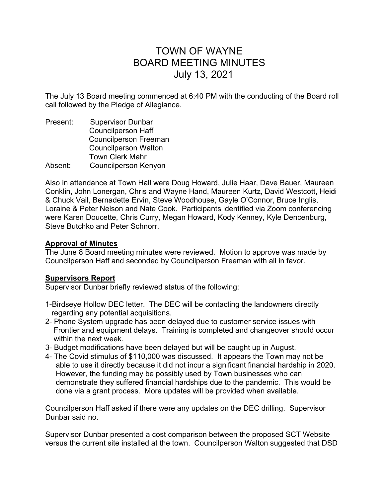# TOWN OF WAYNE BOARD MEETING MINUTES July 13, 2021

The July 13 Board meeting commenced at 6:40 PM with the conducting of the Board roll call followed by the Pledge of Allegiance.

Present: Supervisor Dunbar Councilperson Haff Councilperson Freeman Councilperson Walton Town Clerk Mahr Absent: Councilperson Kenyon

Also in attendance at Town Hall were Doug Howard, Julie Haar, Dave Bauer, Maureen Conklin, John Lonergan, Chris and Wayne Hand, Maureen Kurtz, David Westcott, Heidi & Chuck Vail, Bernadette Ervin, Steve Woodhouse, Gayle O'Connor, Bruce Inglis, Loraine & Peter Nelson and Nate Cook. Participants identified via Zoom conferencing were Karen Doucette, Chris Curry, Megan Howard, Kody Kenney, Kyle Dencenburg, Steve Butchko and Peter Schnorr.

# **Approval of Minutes**

The June 8 Board meeting minutes were reviewed. Motion to approve was made by Councilperson Haff and seconded by Councilperson Freeman with all in favor.

# Supervisors Report

Supervisor Dunbar briefly reviewed status of the following:

- 1-Birdseye Hollow DEC letter. The DEC will be contacting the landowners directly regarding any potential acquisitions.
- 2- Phone System upgrade has been delayed due to customer service issues with Frontier and equipment delays. Training is completed and changeover should occur within the next week.
- 3- Budget modifications have been delayed but will be caught up in August.
- 4- The Covid stimulus of \$110,000 was discussed. It appears the Town may not be able to use it directly because it did not incur a significant financial hardship in 2020. However, the funding may be possibly used by Town businesses who can demonstrate they suffered financial hardships due to the pandemic. This would be done via a grant process. More updates will be provided when available.

Councilperson Haff asked if there were any updates on the DEC drilling. Supervisor Dunbar said no.

Supervisor Dunbar presented a cost comparison between the proposed SCT Website versus the current site installed at the town. Councilperson Walton suggested that DSD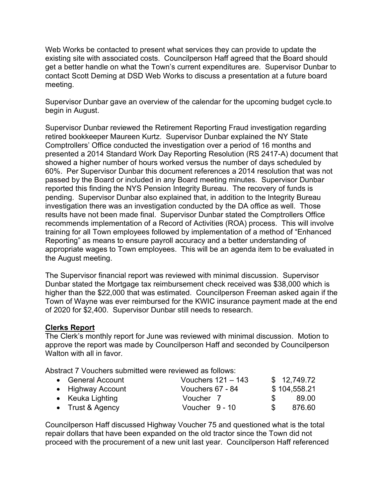Web Works be contacted to present what services they can provide to update the existing site with associated costs. Councilperson Haff agreed that the Board should get a better handle on what the Town's current expenditures are. Supervisor Dunbar to contact Scott Deming at DSD Web Works to discuss a presentation at a future board meeting.

Supervisor Dunbar gave an overview of the calendar for the upcoming budget cycle.to begin in August.

Supervisor Dunbar reviewed the Retirement Reporting Fraud investigation regarding retired bookkeeper Maureen Kurtz. Supervisor Dunbar explained the NY State Comptrollers' Office conducted the investigation over a period of 16 months and presented a 2014 Standard Work Day Reporting Resolution (RS 2417-A) document that showed a higher number of hours worked versus the number of days scheduled by 60%. Per Supervisor Dunbar this document references a 2014 resolution that was not passed by the Board or included in any Board meeting minutes. Supervisor Dunbar reported this finding the NYS Pension Integrity Bureau. The recovery of funds is pending. Supervisor Dunbar also explained that, in addition to the Integrity Bureau investigation there was an investigation conducted by the DA office as well. Those results have not been made final. Supervisor Dunbar stated the Comptrollers Office recommends implementation of a Record of Activities (ROA) process. This will involve training for all Town employees followed by implementation of a method of "Enhanced Reporting" as means to ensure payroll accuracy and a better understanding of appropriate wages to Town employees. This will be an agenda item to be evaluated in the August meeting.

The Supervisor financial report was reviewed with minimal discussion. Supervisor Dunbar stated the Mortgage tax reimbursement check received was \$38,000 which is higher than the \$22,000 that was estimated. Councilperson Freeman asked again if the Town of Wayne was ever reimbursed for the KWIC insurance payment made at the end of 2020 for \$2,400. Supervisor Dunbar still needs to research.

# Clerks Report

The Clerk's monthly report for June was reviewed with minimal discussion. Motion to approve the report was made by Councilperson Haff and seconded by Councilperson Walton with all in favor.

Abstract 7 Vouchers submitted were reviewed as follows:

| • General Account | Vouchers $121 - 143$ | \$12,749.72  |
|-------------------|----------------------|--------------|
| • Highway Account | Vouchers 67 - 84     | \$104,558.21 |
| • Keuka Lighting  | Voucher 7            | 89.00        |
| • Trust & Agency  | Voucher 9 - 10       | 876.60       |

Councilperson Haff discussed Highway Voucher 75 and questioned what is the total repair dollars that have been expanded on the old tractor since the Town did not proceed with the procurement of a new unit last year. Councilperson Haff referenced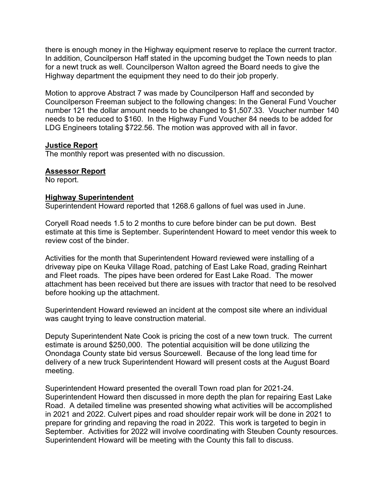there is enough money in the Highway equipment reserve to replace the current tractor. In addition, Councilperson Haff stated in the upcoming budget the Town needs to plan for a newt truck as well. Councilperson Walton agreed the Board needs to give the Highway department the equipment they need to do their job properly.

Motion to approve Abstract 7 was made by Councilperson Haff and seconded by Councilperson Freeman subject to the following changes: In the General Fund Voucher number 121 the dollar amount needs to be changed to \$1,507.33. Voucher number 140 needs to be reduced to \$160. In the Highway Fund Voucher 84 needs to be added for LDG Engineers totaling \$722.56. The motion was approved with all in favor.

#### Justice Report

The monthly report was presented with no discussion.

#### Assessor Report

No report.

#### Highway Superintendent

Superintendent Howard reported that 1268.6 gallons of fuel was used in June.

Coryell Road needs 1.5 to 2 months to cure before binder can be put down. Best estimate at this time is September. Superintendent Howard to meet vendor this week to review cost of the binder.

Activities for the month that Superintendent Howard reviewed were installing of a driveway pipe on Keuka Village Road, patching of East Lake Road, grading Reinhart and Fleet roads. The pipes have been ordered for East Lake Road. The mower attachment has been received but there are issues with tractor that need to be resolved before hooking up the attachment.

Superintendent Howard reviewed an incident at the compost site where an individual was caught trying to leave construction material.

Deputy Superintendent Nate Cook is pricing the cost of a new town truck. The current estimate is around \$250,000. The potential acquisition will be done utilizing the Onondaga County state bid versus Sourcewell. Because of the long lead time for delivery of a new truck Superintendent Howard will present costs at the August Board meeting.

Superintendent Howard presented the overall Town road plan for 2021-24. Superintendent Howard then discussed in more depth the plan for repairing East Lake Road. A detailed timeline was presented showing what activities will be accomplished in 2021 and 2022. Culvert pipes and road shoulder repair work will be done in 2021 to prepare for grinding and repaving the road in 2022. This work is targeted to begin in September. Activities for 2022 will involve coordinating with Steuben County resources. Superintendent Howard will be meeting with the County this fall to discuss.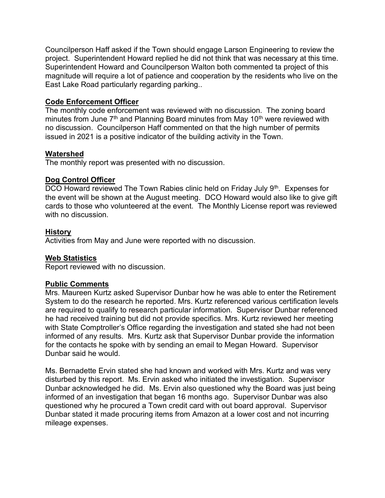Councilperson Haff asked if the Town should engage Larson Engineering to review the project. Superintendent Howard replied he did not think that was necessary at this time. Superintendent Howard and Councilperson Walton both commented ta project of this magnitude will require a lot of patience and cooperation by the residents who live on the East Lake Road particularly regarding parking..

# Code Enforcement Officer

The monthly code enforcement was reviewed with no discussion. The zoning board minutes from June  $7<sup>th</sup>$  and Planning Board minutes from May 10<sup>th</sup> were reviewed with no discussion. Councilperson Haff commented on that the high number of permits issued in 2021 is a positive indicator of the building activity in the Town.

# Watershed

The monthly report was presented with no discussion.

# Dog Control Officer

DCO Howard reviewed The Town Rabies clinic held on Friday July 9<sup>th</sup>. Expenses for the event will be shown at the August meeting. DCO Howard would also like to give gift cards to those who volunteered at the event. The Monthly License report was reviewed with no discussion.

# History

Activities from May and June were reported with no discussion.

# Web Statistics

Report reviewed with no discussion.

# Public Comments

Mrs. Maureen Kurtz asked Supervisor Dunbar how he was able to enter the Retirement System to do the research he reported. Mrs. Kurtz referenced various certification levels are required to qualify to research particular information. Supervisor Dunbar referenced he had received training but did not provide specifics. Mrs. Kurtz reviewed her meeting with State Comptroller's Office regarding the investigation and stated she had not been informed of any results. Mrs. Kurtz ask that Supervisor Dunbar provide the information for the contacts he spoke with by sending an email to Megan Howard. Supervisor Dunbar said he would.

Ms. Bernadette Ervin stated she had known and worked with Mrs. Kurtz and was very disturbed by this report. Ms. Ervin asked who initiated the investigation. Supervisor Dunbar acknowledged he did. Ms. Ervin also questioned why the Board was just being informed of an investigation that began 16 months ago. Supervisor Dunbar was also questioned why he procured a Town credit card with out board approval. Supervisor Dunbar stated it made procuring items from Amazon at a lower cost and not incurring mileage expenses.